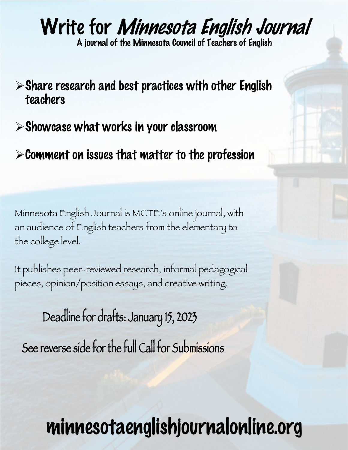# Write for Minnesota English Journal

A journal of the Minnesota Council of Teachers of English

- $\triangleright$  Share research and best practices with other English teachers
- $\triangleright$  Showcase what works in your classroom
- $\triangleright$  Comment on issues that matter to the profession

Minnesota English Journal is MCTE's online journal, with an audience of English teachers from the elementary to the college level.

It publishes peer-reviewed research, informal pedagogical pieces, opinion/position essays, and creative writing.

See reverse side for the full Call for Submissions Deadline for drafts: January 15, 2023

# minnesotaenglishjournalonline.org